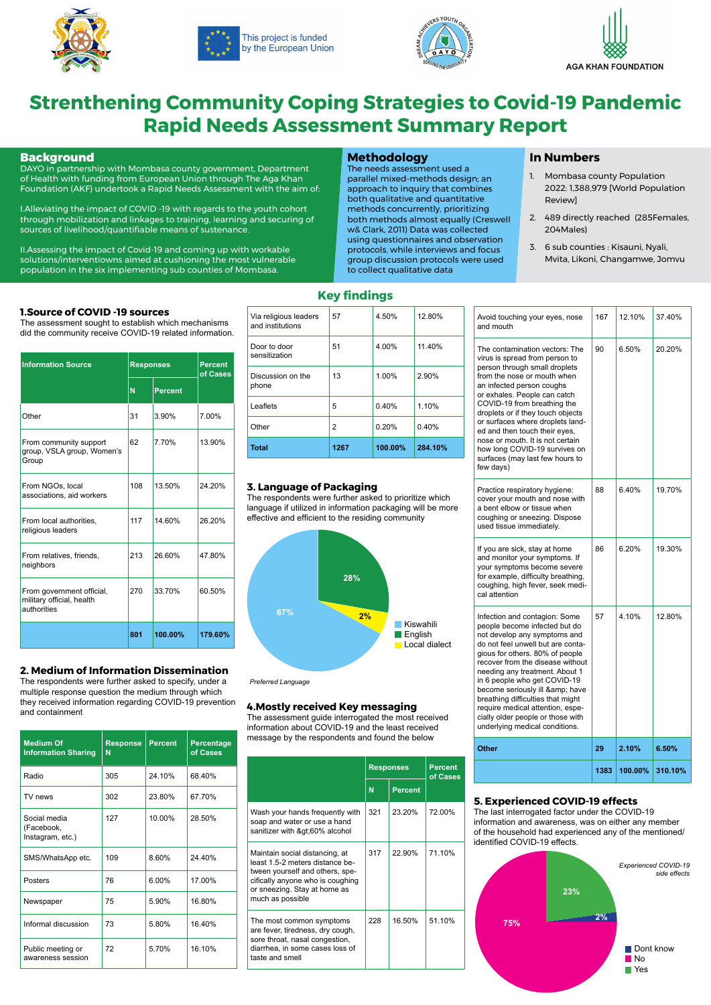



This project is funded by the European Union





# **Strenthening Community Coping Strategies to Covid-19 Pandemic Rapid Needs Assessment Summary Report**

#### **Background**

DAYO in partnership with Mombasa county government, Department of Health with funding from European Union through The Aga Khan Foundation (AKF) undertook a Rapid Needs Assessment with the aim of:

I.Alleviating the impact of COVID -19 with regards to the youth cohort through mobilization and linkages to training, learning and securing of sources of livelihood/quantifiable means of sustenance.

II.Assessing the impact of Covid-19 and coming up with workable solutions/interventiowns aimed at cushioning the most vulnerable population in the six implementing sub counties of Mombasa.

#### **Methodology**

The needs assessment used a parallel mixed-methods design; an approach to inquiry that combines both qualitative and quantitative methods concurrently, prioritizing both methods almost equally (Creswell w& Clark, 2011) Data was collected using questionnaires and observation protocols, while interviews and focus group discussion protocols were used to collect qualitative data

#### **In Numbers**

- 1. Mombasa county Population 2022: 1,388,979 [World Population Review]
- 2. 489 directly reached (285Females, 204Males)
- 3. 6 sub counties : Kisauni, Nyali, Mvita, Likoni, Changamwe, Jomvu

#### **1.Source of COVID -19 sources**

The assessment sought to establish which mechanisms did the community receive COVID-19 related information.

| <b>Information Source</b>                                             | <b>Responses</b> |                | <b>Percent</b><br>of Cases |
|-----------------------------------------------------------------------|------------------|----------------|----------------------------|
|                                                                       | N                | <b>Percent</b> |                            |
| Other                                                                 | 31               | 3.90%          | 7.00%                      |
| From community support<br>group, VSLA group, Women's<br>Group         | 62               | 7.70%          | 13.90%                     |
| From NGOs, local<br>associations, aid workers                         | 108              | 13.50%         | 24.20%                     |
| From local authorities,<br>religious leaders                          | 117              | 14.60%         | 26.20%                     |
| From relatives, friends,<br>neighbors                                 | 213              | 26.60%         | 47.80%                     |
| From government official,<br>military official, health<br>authorities | 270              | 33.70%         | 60.50%                     |
|                                                                       | 801              | 100.00%        | 179.60%                    |

## **2. Medium of Information Dissemination**

The respondents were further asked to specify, under a multiple response question the medium through which they received information regarding COVID-19 prevention and containment

| Medium Of                      | <b>Response Percent</b> | Percentage |
|--------------------------------|-------------------------|------------|
| <b>Information Sharing   N</b> |                         | of Cases   |
|                                |                         |            |

| Radio                                          | 305 | 24.10%   | 68.40% |
|------------------------------------------------|-----|----------|--------|
| TV news                                        | 302 | 23.80%   | 67.70% |
| Social media<br>(Facebook,<br>Instagram, etc.) | 127 | 10.00%   | 28.50% |
| SMS/WhatsApp etc.                              | 109 | 8.60%    | 24.40% |
| Posters                                        | 76  | $6.00\%$ | 17.00% |
| Newspaper                                      | 75  | 5.90%    | 16.80% |
| Informal discussion                            | 73  | 5.80%    | 16.40% |
| Public meeting or<br>awareness session         | 72  | 5.70%    | 16.10% |

#### **4.Mostly received Key messaging**

The assessment guide interrogated the most received information about COVID-19 and the least received message by the respondents and found the below

|                                                                                                                                                                                              | <b>Responses</b> |                | Percent<br>of Cases |
|----------------------------------------------------------------------------------------------------------------------------------------------------------------------------------------------|------------------|----------------|---------------------|
|                                                                                                                                                                                              | N                | <b>Percent</b> |                     |
| Wash your hands frequently with<br>soap and water or use a hand<br>sanitizer with >60% alcohol                                                                                               | 321              | 23.20%         | 72.00%              |
| Maintain social distancing, at<br>least 1.5-2 meters distance be-<br>tween yourself and others, spe-<br>cifically anyone who is coughing<br>or sneezing. Stay at home as<br>much as possible | 317              | 22.90%         | 71.10%              |
| The most common symptoms<br>are fever, tiredness, dry cough,<br>sore throat, nasal congestion,<br>diarrhea, in some cases loss of<br>taste and smell                                         | 228              | 16.50%         | 51.10%              |

| Avoid touching your eyes, nose<br>and mouth                                                                                                                                                                                                                                                                                                                                                                                                                 | 167 | 12.10% | 37.40% |
|-------------------------------------------------------------------------------------------------------------------------------------------------------------------------------------------------------------------------------------------------------------------------------------------------------------------------------------------------------------------------------------------------------------------------------------------------------------|-----|--------|--------|
| The contamination vectors: The<br>virus is spread from person to<br>person through small droplets<br>from the nose or mouth when<br>an infected person coughs<br>or exhales. People can catch<br>COVID-19 from breathing the<br>droplets or if they touch objects<br>or surfaces where droplets land-<br>ed and then touch their eyes,<br>nose or mouth. It is not certain<br>how long COVID-19 survives on<br>surfaces (may last few hours to<br>few days) | 90  | 6.50%  | 20.20% |
| Practice respiratory hygiene:<br>cover your mouth and nose with<br>a bent elbow or tissue when<br>coughing or sneezing. Dispose<br>used tissue immediately.                                                                                                                                                                                                                                                                                                 | 88  | 6.40%  | 19.70% |
| If you are sick, stay at home<br>and monitor your symptoms. If<br>your symptoms become severe<br>for example, difficulty breathing,<br>coughing, high fever, seek medi-<br>cal attention                                                                                                                                                                                                                                                                    | 86  | 6.20%  | 19.30% |
| Infection and contagion: Some<br>people become infected but do<br>not develop any symptoms and<br>do not feel unwell but are conta-<br>gious for others. 80% of people<br>recover from the disease without<br>needing any treatment. About 1<br>in 6 people who get COVID-19<br>become seriously ill & have<br>breathing difficulties that might<br>require medical attention, espe-<br>cially older people or those with<br>underlying medical conditions. | 57  | 4.10%  | 12.80% |
|                                                                                                                                                                                                                                                                                                                                                                                                                                                             |     |        |        |

**Other 29 2.10% 6.50%**

**1383 100.00% 310.10%**

#### **3. Language of Packaging**

The respondents were further asked to prioritize which language if utilized in information packaging will be more effective and efficient to the residing community

#### **5. Experienced COVID-19 effects**

The last interrogated factor under the COVID-19 information and awareness, was on either any member of the household had experienced any of the mentioned/ identified COVID-19 effects.

| Via religious leaders<br>and institutions | 57 | 4.50% | 12.80% |
|-------------------------------------------|----|-------|--------|
| Door to door<br>sensitization             | 51 | 4.00% | 11.40% |
| Discussion on the<br>phone                | 13 | 1.00% | 2.90%  |
| Leaflets                                  | 5  | 0.40% | 1.10%  |
| Other                                     | 2  | 0.20% | 0.40%  |

**Total 1267 100.00% 284.10%**





*Preferred Language*

**Key findings**